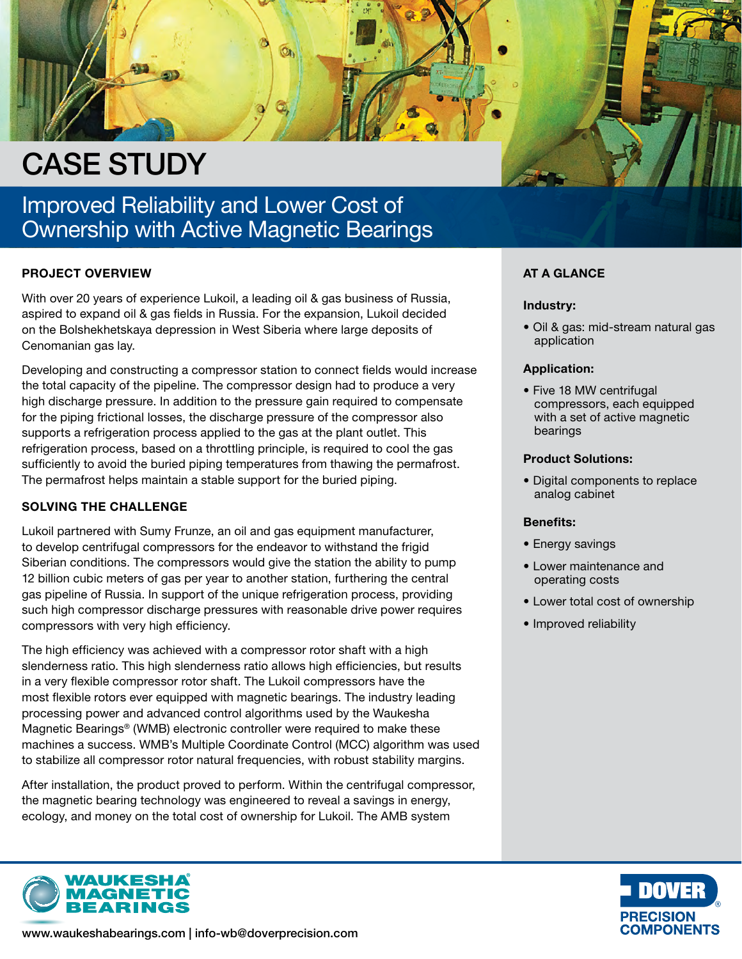

# Improved Reliability and Lower Cost of Ownership with Active Magnetic Bearings

## PROJECT OVERVIEW

With over 20 years of experience Lukoil, a leading oil & gas business of Russia, aspired to expand oil & gas fields in Russia. For the expansion, Lukoil decided on the Bolshekhetskaya depression in West Siberia where large deposits of Cenomanian gas lay.

Developing and constructing a compressor station to connect fields would increase the total capacity of the pipeline. The compressor design had to produce a very high discharge pressure. In addition to the pressure gain required to compensate for the piping frictional losses, the discharge pressure of the compressor also supports a refrigeration process applied to the gas at the plant outlet. This refrigeration process, based on a throttling principle, is required to cool the gas sufficiently to avoid the buried piping temperatures from thawing the permafrost. The permafrost helps maintain a stable support for the buried piping.

## SOLVING THE CHALLENGE

Lukoil partnered with Sumy Frunze, an oil and gas equipment manufacturer, to develop centrifugal compressors for the endeavor to withstand the frigid Siberian conditions. The compressors would give the station the ability to pump 12 billion cubic meters of gas per year to another station, furthering the central gas pipeline of Russia. In support of the unique refrigeration process, providing such high compressor discharge pressures with reasonable drive power requires compressors with very high efficiency.

The high efficiency was achieved with a compressor rotor shaft with a high slenderness ratio. This high slenderness ratio allows high efficiencies, but results in a very flexible compressor rotor shaft. The Lukoil compressors have the most flexible rotors ever equipped with magnetic bearings. The industry leading processing power and advanced control algorithms used by the Waukesha Magnetic Bearings® (WMB) electronic controller were required to make these machines a success. WMB's Multiple Coordinate Control (MCC) algorithm was used to stabilize all compressor rotor natural frequencies, with robust stability margins.

After installation, the product proved to perform. Within the centrifugal compressor, the magnetic bearing technology was engineered to reveal a savings in energy, ecology, and money on the total cost of ownership for Lukoil. The AMB system



# AT A GLANCE

#### Industry:

• Oil & gas: mid-stream natural gas application

#### Application:

• Five 18 MW centrifugal compressors, each equipped with a set of active magnetic bearings

#### Product Solutions:

• Digital components to replace analog cabinet

#### Benefits:

- Energy savings
- Lower maintenance and operating costs
- Lower total cost of ownership
- Improved reliability





www.waukeshabearings.com | info-wb@doverprecision.com